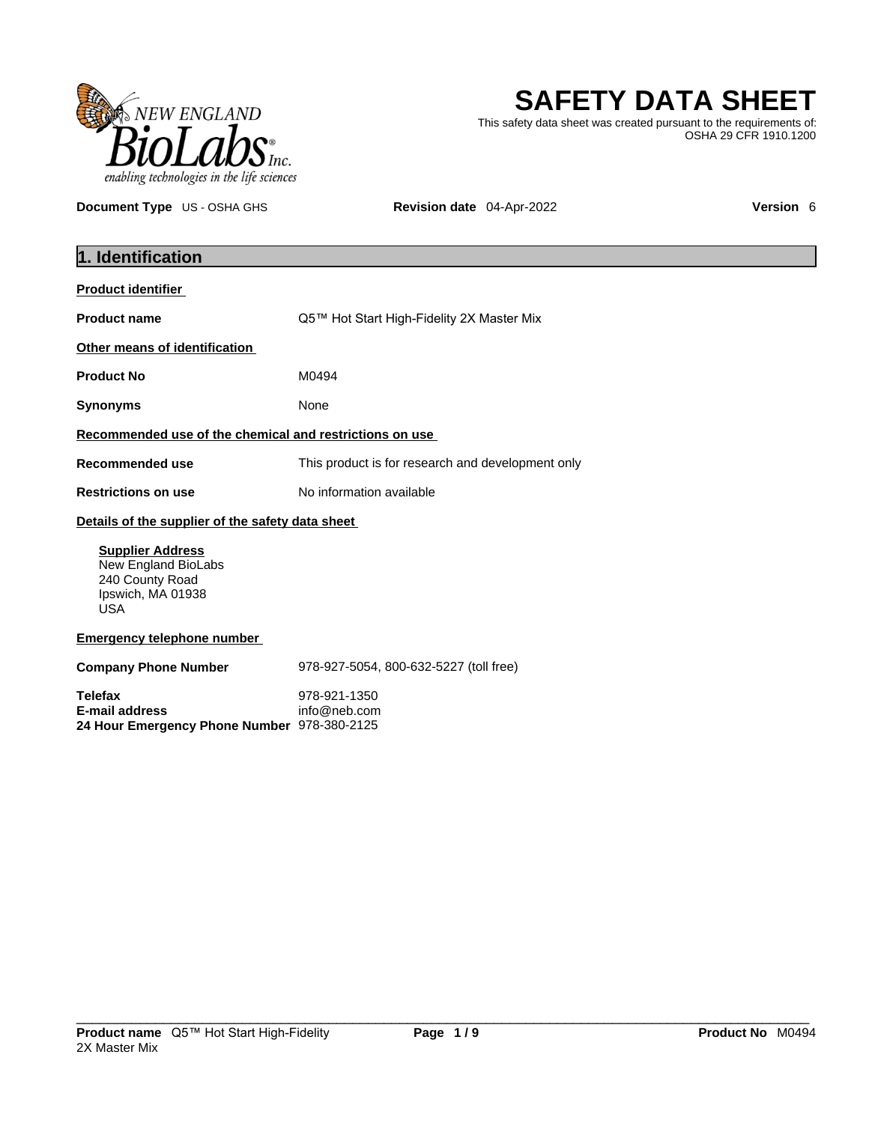

# **SAFETY DATA SHEET**

This safety data sheet was created pursuant to the requirements of: OSHA 29 CFR 1910.1200

**Document Type** US - OSHA GHS **Revision date** 04-Apr-2022 **Version 6 Version 6** 

| 1. Identification                                                                                    |                                                   |  |
|------------------------------------------------------------------------------------------------------|---------------------------------------------------|--|
| <b>Product identifier</b>                                                                            |                                                   |  |
| <b>Product name</b>                                                                                  | Q5™ Hot Start High-Fidelity 2X Master Mix         |  |
| Other means of identification                                                                        |                                                   |  |
| <b>Product No</b>                                                                                    | M0494                                             |  |
| <b>Synonyms</b>                                                                                      | None                                              |  |
| Recommended use of the chemical and restrictions on use                                              |                                                   |  |
| <b>Recommended use</b>                                                                               | This product is for research and development only |  |
| <b>Restrictions on use</b>                                                                           | No information available                          |  |
| Details of the supplier of the safety data sheet                                                     |                                                   |  |
| <b>Supplier Address</b><br>New England BioLabs<br>240 County Road<br>Ipswich, MA 01938<br><b>USA</b> |                                                   |  |
| <b>Emergency telephone number</b>                                                                    |                                                   |  |
| <b>Company Phone Number</b>                                                                          | 978-927-5054, 800-632-5227 (toll free)            |  |
| <b>Telefax</b><br><b>E-mail address</b><br>24 Hour Emergency Phone Number 978-380-2125               | 978-921-1350<br>info@neb.com                      |  |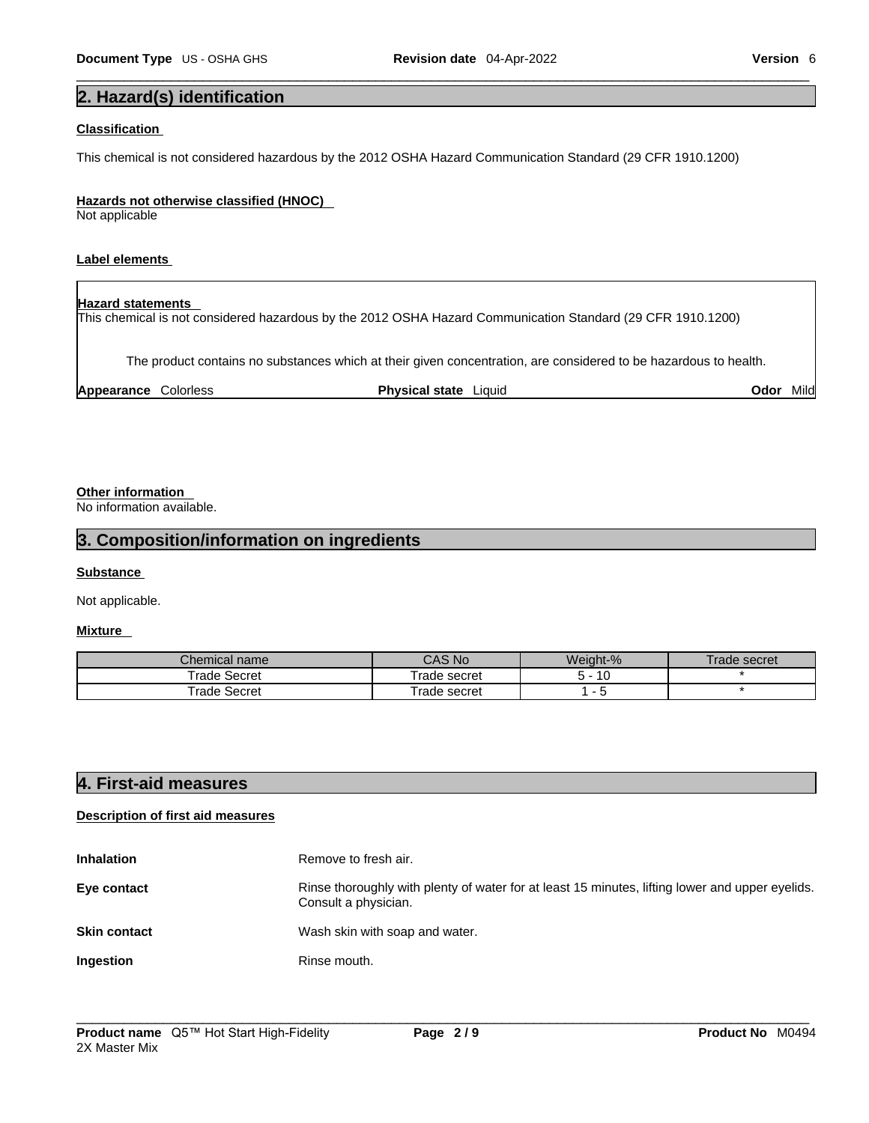# **2. Hazard(s) identification**

#### **Classification**

This chemical is not considered hazardous by the 2012 OSHA Hazard Communication Standard (29 CFR 1910.1200)

#### **Hazards not otherwise classified (HNOC)**

Not applicable

#### **Label elements**

# **Hazard statements**

This chemical is not considered hazardous by the 2012 OSHA Hazard Communication Standard (29 CFR 1910.1200)

The product contains no substances which at their given concentration, are considered to be hazardous to health.

| Appearance<br>Colorless<br>Phvsical state<br>Liauia | Jdo <sup>.</sup> | Mild |
|-----------------------------------------------------|------------------|------|
|-----------------------------------------------------|------------------|------|

#### **Other information**

No information available.

#### **3. Composition/information on ingredients**

#### **Substance**

Not applicable.

#### **Mixture**

| Chemical name | $^{\circ}$ AS No $^{\circ}$ | Weight-%             | l rade secret |
|---------------|-----------------------------|----------------------|---------------|
| Trade Secret  | Frade secret                | $\overline{a}$<br>ΙU |               |
| Frade Secret  | Frade secret                |                      |               |

### **4. First-aid measures**

#### **Description of first aid measures**

| <b>Inhalation</b>   | Remove to fresh air.                                                                                                    |
|---------------------|-------------------------------------------------------------------------------------------------------------------------|
| Eye contact         | Rinse thoroughly with plenty of water for at least 15 minutes, lifting lower and upper eyelids.<br>Consult a physician. |
| <b>Skin contact</b> | Wash skin with soap and water.                                                                                          |
| Ingestion           | Rinse mouth.                                                                                                            |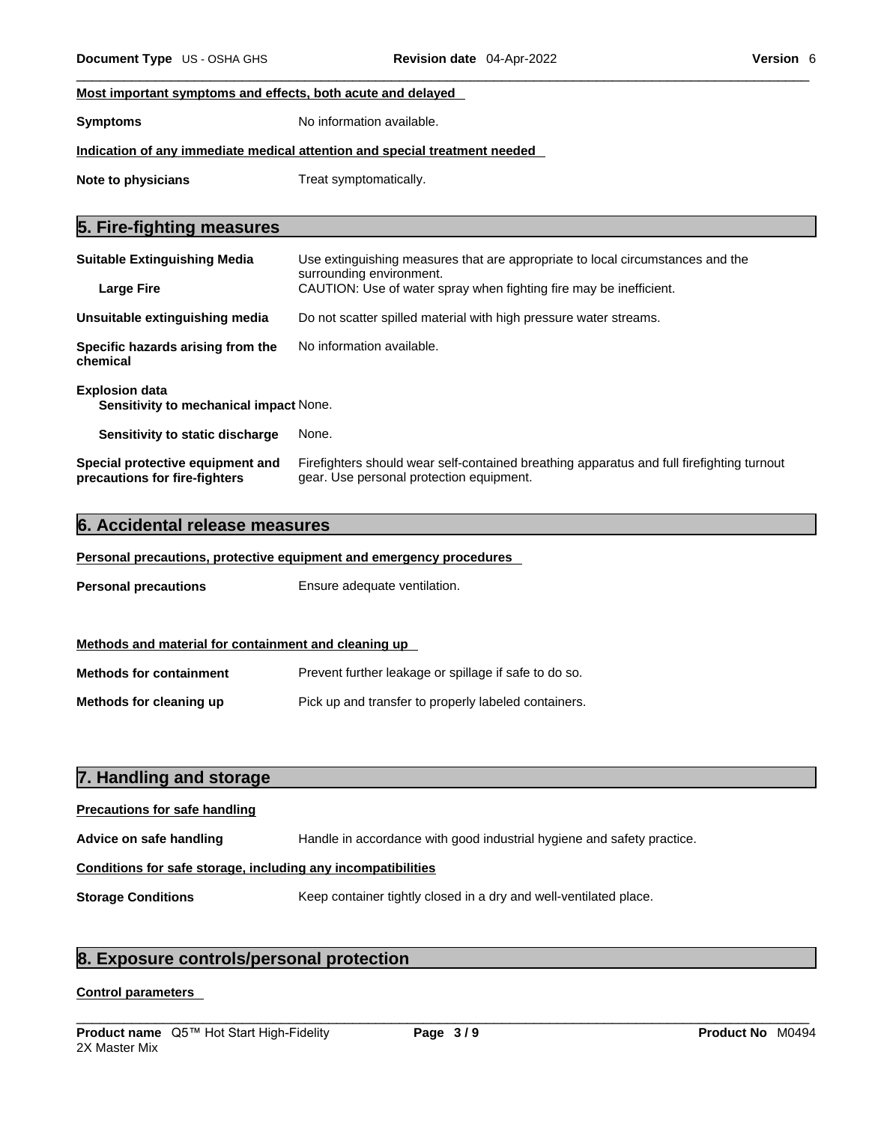#### **Most important symptoms and effects, both acute and delayed**

**Symptoms** No information available.

#### **Indication of any immediate medical attention and special treatment needed**

**Note to physicians** Treat symptomatically.

# **5. Fire-fighting measures**

| <b>Suitable Extinguishing Media</b>                                    | Use extinguishing measures that are appropriate to local circumstances and the<br>surrounding environment. |  |
|------------------------------------------------------------------------|------------------------------------------------------------------------------------------------------------|--|
| <b>Large Fire</b>                                                      | CAUTION: Use of water spray when fighting fire may be inefficient.                                         |  |
| Unsuitable extinguishing media                                         | Do not scatter spilled material with high pressure water streams.                                          |  |
| Specific hazards arising from the<br>chemical                          | No information available.                                                                                  |  |
| <b>Explosion data</b><br><b>Sensitivity to mechanical impact None.</b> |                                                                                                            |  |
| Sensitivity to static discharge                                        | None.                                                                                                      |  |
| Special protective equipment and                                       | Firefighters should wear self-contained breathing apparatus and full firefighting turnout                  |  |

gear. Use personal protection equipment.

#### **6. Accidental release measures**

**precautions for fire-fighters**

#### **Personal precautions, protective equipment and emergency procedures**

| <b>Personal precautions</b>                          | Ensure adequate ventilation. |
|------------------------------------------------------|------------------------------|
|                                                      |                              |
| Methods and material for containment and cleaning up |                              |

| <b>Methods for containment</b> | Prevent further leakage or spillage if safe to do so. |
|--------------------------------|-------------------------------------------------------|
| Methods for cleaning up        | Pick up and transfer to properly labeled containers.  |

### **7. Handling and storage**

# **Precautions for safe handling**

**Advice on safe handling** Handle in accordance with good industrial hygiene and safety practice.

#### **Conditions for safe storage, including any incompatibilities**

**Storage Conditions** Keep container tightly closed in a dry and well-ventilated place.

# **8. Exposure controls/personal protection**

#### **Control parameters**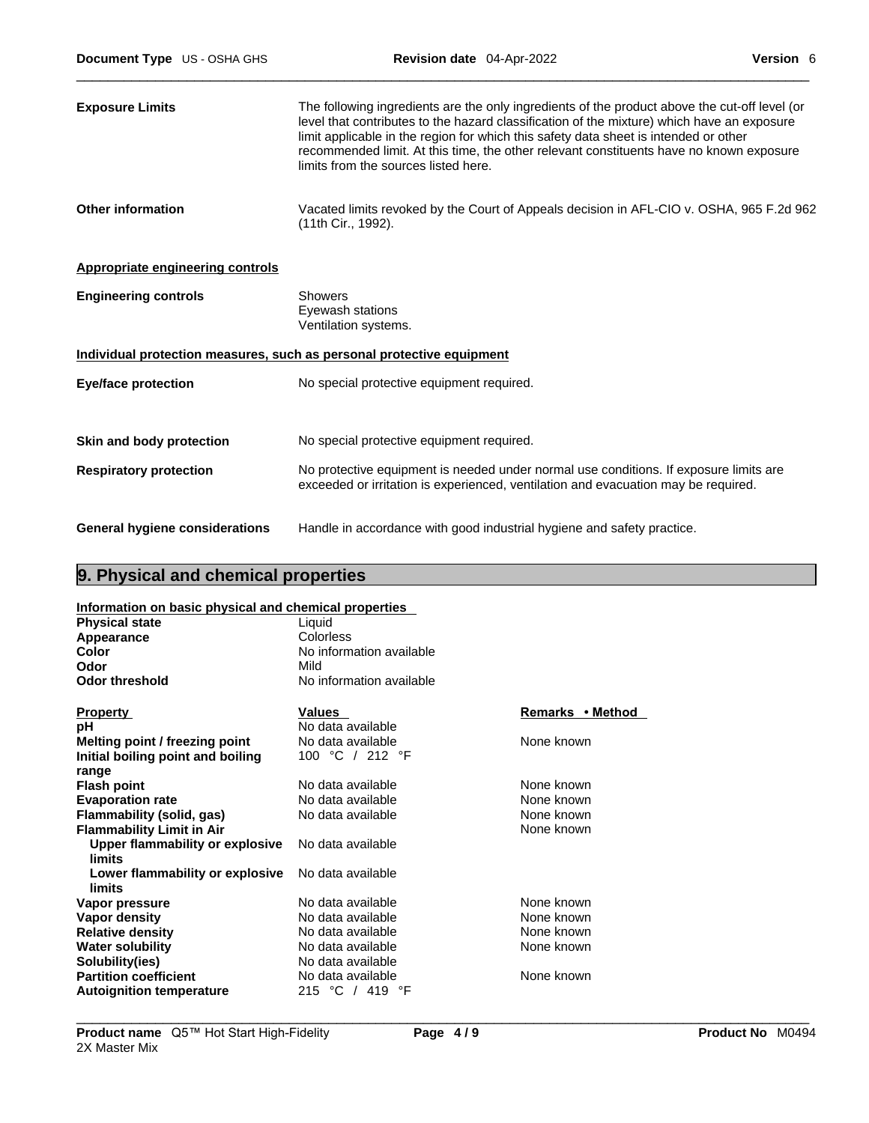| <b>Exposure Limits</b>                  | The following ingredients are the only ingredients of the product above the cut-off level (or<br>level that contributes to the hazard classification of the mixture) which have an exposure<br>limit applicable in the region for which this safety data sheet is intended or other<br>recommended limit. At this time, the other relevant constituents have no known exposure<br>limits from the sources listed here. |
|-----------------------------------------|------------------------------------------------------------------------------------------------------------------------------------------------------------------------------------------------------------------------------------------------------------------------------------------------------------------------------------------------------------------------------------------------------------------------|
| <b>Other information</b>                | Vacated limits revoked by the Court of Appeals decision in AFL-CIO v. OSHA, 965 F.2d 962<br>(11th Cir., 1992).                                                                                                                                                                                                                                                                                                         |
| <b>Appropriate engineering controls</b> |                                                                                                                                                                                                                                                                                                                                                                                                                        |
| <b>Engineering controls</b>             | <b>Showers</b><br>Eyewash stations<br>Ventilation systems.                                                                                                                                                                                                                                                                                                                                                             |
|                                         | Individual protection measures, such as personal protective equipment                                                                                                                                                                                                                                                                                                                                                  |
| <b>Eye/face protection</b>              | No special protective equipment required.                                                                                                                                                                                                                                                                                                                                                                              |
| Skin and body protection                | No special protective equipment required.                                                                                                                                                                                                                                                                                                                                                                              |
| <b>Respiratory protection</b>           | No protective equipment is needed under normal use conditions. If exposure limits are<br>exceeded or irritation is experienced, ventilation and evacuation may be required.                                                                                                                                                                                                                                            |
| <b>General hygiene considerations</b>   | Handle in accordance with good industrial hygiene and safety practice.                                                                                                                                                                                                                                                                                                                                                 |

# **9. Physical and chemical properties**

| Information on basic physical and chemical properties |
|-------------------------------------------------------|
|                                                       |

| <u>INTO Mation on basic physical and chemical properties</u> |                          |                  |
|--------------------------------------------------------------|--------------------------|------------------|
| <b>Physical state</b>                                        | Liquid                   |                  |
| Appearance                                                   | Colorless                |                  |
| Color                                                        | No information available |                  |
| Odor                                                         | Mild                     |                  |
| <b>Odor threshold</b>                                        | No information available |                  |
| <b>Property</b>                                              | <b>Values</b>            | Remarks • Method |
| рH                                                           | No data available        |                  |
| Melting point / freezing point                               | No data available        | None known       |
| Initial boiling point and boiling                            | 100 °C / 212 °F          |                  |
| range                                                        |                          |                  |
| <b>Flash point</b>                                           | No data available        | None known       |
| <b>Evaporation rate</b>                                      | No data available        | None known       |
| Flammability (solid, gas)                                    | No data available        | None known       |
| <b>Flammability Limit in Air</b>                             |                          | None known       |
| Upper flammability or explosive<br>limits                    | No data available        |                  |
| Lower flammability or explosive<br>limits                    | No data available        |                  |
| Vapor pressure                                               | No data available        | None known       |
| Vapor density                                                | No data available        | None known       |
| <b>Relative density</b>                                      | No data available        | None known       |
| <b>Water solubility</b>                                      | No data available        | None known       |
| Solubility(ies)                                              | No data available        |                  |
| <b>Partition coefficient</b>                                 | No data available        | None known       |
| <b>Autoignition temperature</b>                              | 215 °C / 419 °F          |                  |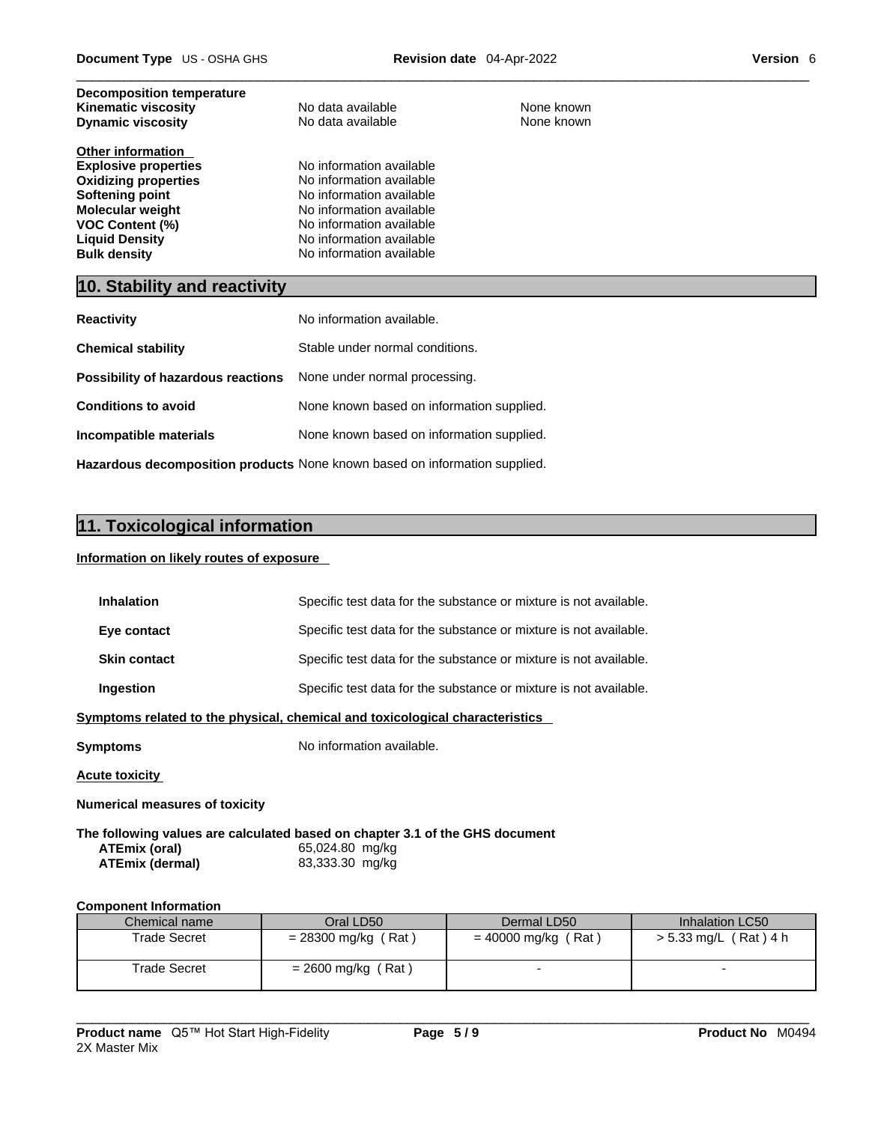| <b>Decomposition temperature</b><br><b>Kinematic viscosity</b><br><b>Dynamic viscosity</b>                                                                                                                     | No data available<br>No data available                                                                                                                                                           | None known<br>None known |  |
|----------------------------------------------------------------------------------------------------------------------------------------------------------------------------------------------------------------|--------------------------------------------------------------------------------------------------------------------------------------------------------------------------------------------------|--------------------------|--|
| <b>Other information</b><br><b>Explosive properties</b><br><b>Oxidizing properties</b><br>Softening point<br><b>Molecular weight</b><br><b>VOC Content (%)</b><br><b>Liquid Density</b><br><b>Bulk density</b> | No information available<br>No information available<br>No information available<br>No information available<br>No information available<br>No information available<br>No information available |                          |  |
|                                                                                                                                                                                                                | 10. Stability and reactivity                                                                                                                                                                     |                          |  |
| <b>Reactivity</b>                                                                                                                                                                                              | No information available.                                                                                                                                                                        |                          |  |

| .                                                                          |                                           |  |
|----------------------------------------------------------------------------|-------------------------------------------|--|
| <b>Chemical stability</b>                                                  | Stable under normal conditions.           |  |
| <b>Possibility of hazardous reactions</b> None under normal processing.    |                                           |  |
| <b>Conditions to avoid</b>                                                 | None known based on information supplied. |  |
| Incompatible materials                                                     | None known based on information supplied. |  |
| Hazardous decomposition products None known based on information supplied. |                                           |  |

# **11. Toxicological information**

#### **Information on likely routes of exposure**

| <b>Inhalation</b>   | Specific test data for the substance or mixture is not available.            |
|---------------------|------------------------------------------------------------------------------|
| Eye contact         | Specific test data for the substance or mixture is not available.            |
| <b>Skin contact</b> | Specific test data for the substance or mixture is not available.            |
| Ingestion           | Specific test data for the substance or mixture is not available.            |
|                     | Symptoms related to the physical, chemical and toxicological characteristics |

**Symptoms** No information available.

**Acute toxicity**

**Numerical measures of toxicity**

**The following values are calculated based on chapter 3.1 of the GHS document ATEmix (oral)** 65,024.80 mg/kg **ATEmix (dermal)**83,333.30 mg/kg

#### **Component Information**

| Chemical name       | Oral LD50             | Dermal LD50           | Inhalation LC50         |
|---------------------|-----------------------|-----------------------|-------------------------|
| <b>Trade Secret</b> | $= 28300$ mg/kg (Rat) | $= 40000$ mg/kg (Rat) | $> 5.33$ mg/L (Rat) 4 h |
|                     |                       |                       |                         |
| Trade Secret        | $= 2600$ mg/kg (Rat)  |                       |                         |
|                     |                       |                       |                         |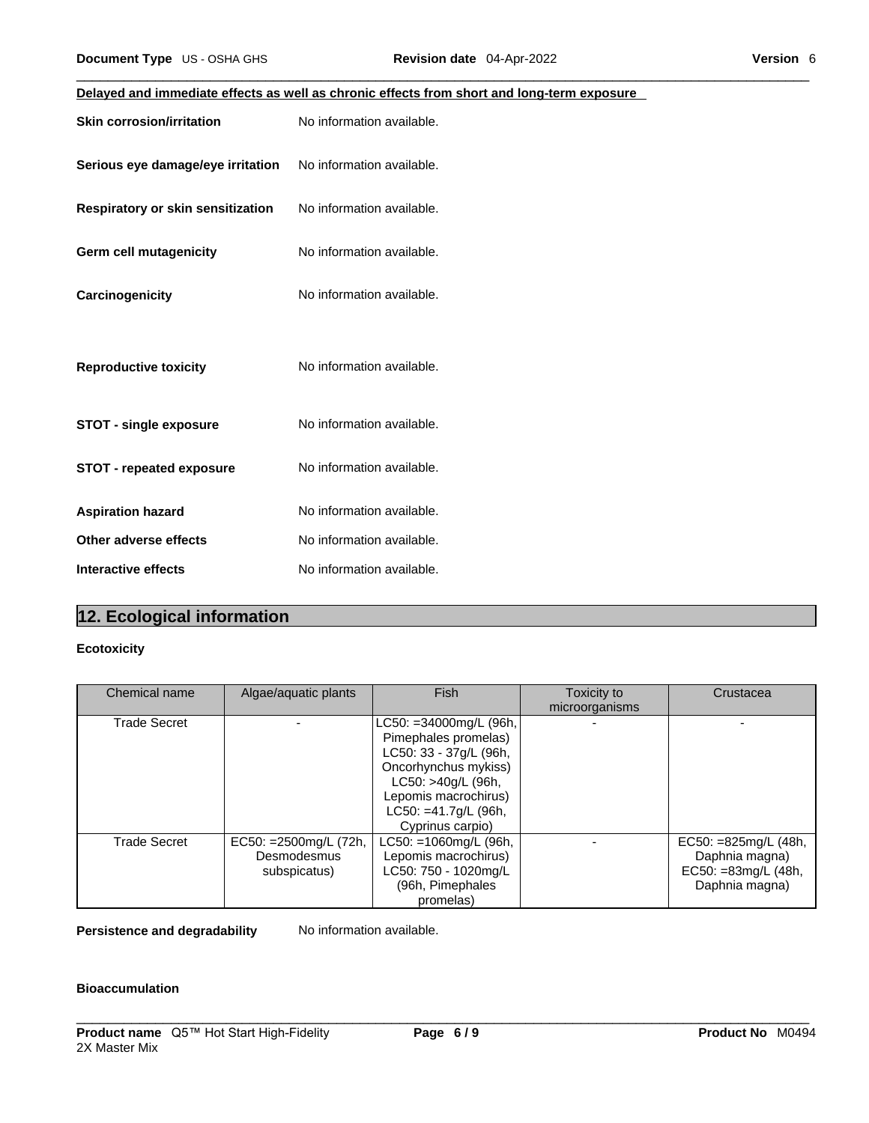| Document Type US - OSHA GHS       | Revision date 04-Apr-2022                                                                  | Version 6 |
|-----------------------------------|--------------------------------------------------------------------------------------------|-----------|
|                                   | Delayed and immediate effects as well as chronic effects from short and long-term exposure |           |
| <b>Skin corrosion/irritation</b>  | No information available.                                                                  |           |
| Serious eye damage/eye irritation | No information available.                                                                  |           |
| Respiratory or skin sensitization | No information available.                                                                  |           |
| <b>Germ cell mutagenicity</b>     | No information available.                                                                  |           |
| Carcinogenicity                   | No information available.                                                                  |           |
| <b>Reproductive toxicity</b>      | No information available.                                                                  |           |
| STOT - single exposure            | No information available.                                                                  |           |
| <b>STOT - repeated exposure</b>   | No information available.                                                                  |           |
| <b>Aspiration hazard</b>          | No information available.                                                                  |           |
| Other adverse effects             | No information available.                                                                  |           |
| <b>Interactive effects</b>        | No information available.                                                                  |           |
|                                   |                                                                                            |           |

# **12. Ecological information**

#### **Ecotoxicity**

| Chemical name       | Algae/aquatic plants                                  | Fish                                                                                                                                                                                       | Toxicity to<br>microorganisms | Crustacea                                                                          |
|---------------------|-------------------------------------------------------|--------------------------------------------------------------------------------------------------------------------------------------------------------------------------------------------|-------------------------------|------------------------------------------------------------------------------------|
| <b>Trade Secret</b> |                                                       | LC50: =34000mg/L (96h,<br>Pimephales promelas)<br>LC50: 33 - 37g/L (96h,<br>Oncorhynchus mykiss)<br>LC50: >40g/L (96h,<br>Lepomis macrochirus)<br>LC50: =41.7g/L (96h,<br>Cyprinus carpio) |                               |                                                                                    |
| <b>Trade Secret</b> | EC50: = 2500mg/L (72h,<br>Desmodesmus<br>subspicatus) | $LC50: = 1060$ mg/L (96h,<br>Lepomis macrochirus)<br>LC50: 750 - 1020mg/L<br>(96h, Pimephales<br>promelas)                                                                                 |                               | EC50: $=825$ mg/L (48h,<br>Daphnia magna)<br>EC50: =83mg/L (48h,<br>Daphnia magna) |

**Persistence and degradability** No information available.

#### **Bioaccumulation**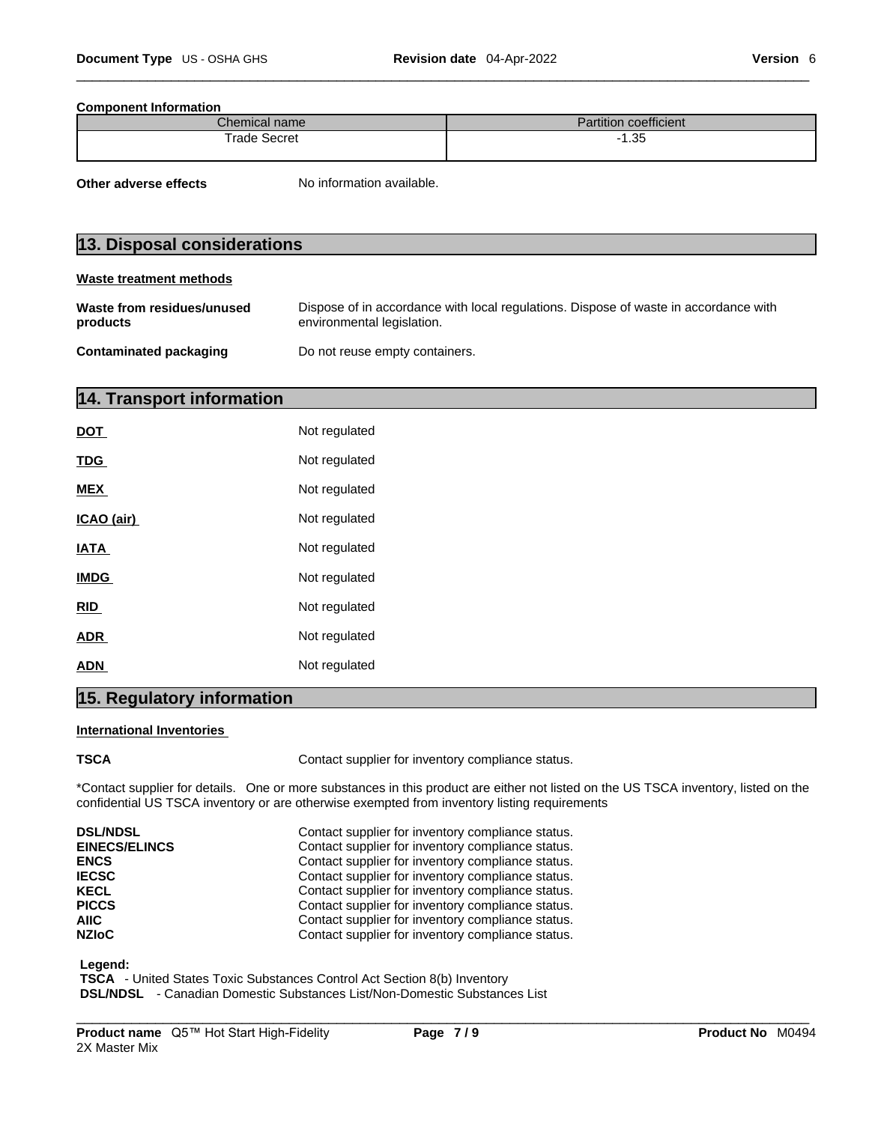#### **Component Information**

| <b>Chemical name</b> | $-$<br>1.1.1<br>⊦coefficient<br>Partition |
|----------------------|-------------------------------------------|
| Trade                | 25                                        |
| Secret               | 1.JJ                                      |

**Other adverse effects** No information available.

# **13. Disposal considerations**

#### **Waste treatment methods**

| Waste from residues/unused | Dispose of in accordance with local regulations. Dispose of waste in accordance with |
|----------------------------|--------------------------------------------------------------------------------------|
| products                   | environmental legislation.                                                           |
| Contaminated packaging     | Do not reuse empty containers.                                                       |

# **14. Transport information**

| Not regulated |
|---------------|
| Not regulated |
| Not regulated |
| Not regulated |
| Not regulated |
| Not regulated |
| Not regulated |
| Not regulated |
| Not regulated |
|               |

# **15. Regulatory information**

#### **International Inventories**

**TSCA Contact supplier for inventory compliance status.** 

\*Contact supplier for details. One or more substances in this product are either not listed on the US TSCA inventory, listed on the confidential US TSCA inventory or are otherwise exempted from inventory listing requirements

| <b>DSL/NDSL</b>      | Contact supplier for inventory compliance status. |
|----------------------|---------------------------------------------------|
| <b>EINECS/ELINCS</b> | Contact supplier for inventory compliance status. |
| <b>ENCS</b>          | Contact supplier for inventory compliance status. |
| <b>IECSC</b>         | Contact supplier for inventory compliance status. |
| <b>KECL</b>          | Contact supplier for inventory compliance status. |
| <b>PICCS</b>         | Contact supplier for inventory compliance status. |
| AIIC                 | Contact supplier for inventory compliance status. |
| <b>NZIoC</b>         | Contact supplier for inventory compliance status. |

#### **Legend:**

 **TSCA** - United States Toxic Substances Control Act Section 8(b) Inventory

 **DSL/NDSL** - Canadian Domestic Substances List/Non-Domestic Substances List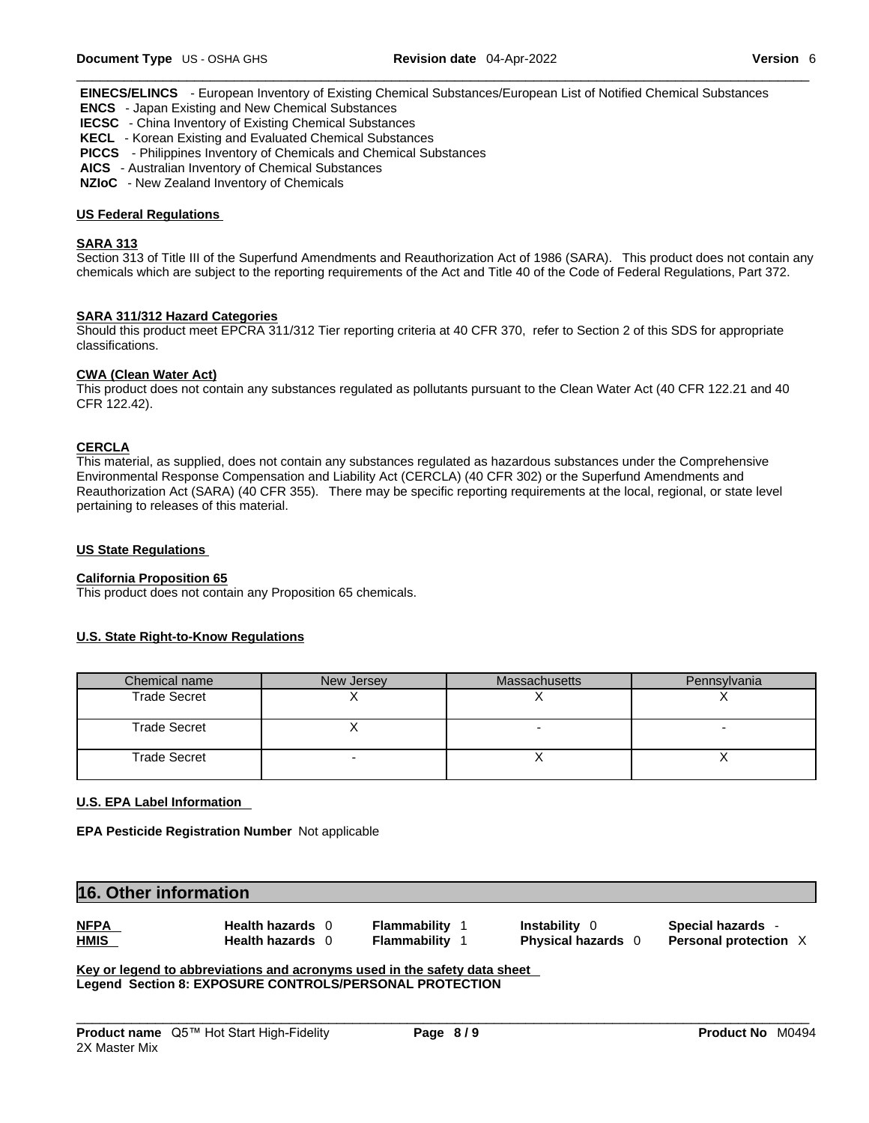**EINECS/ELINCS** - European Inventory of Existing Chemical Substances/European List of Notified Chemical Substances  **ENCS** - Japan Existing and New Chemical Substances

- 
- **IECSC**  China Inventory of Existing Chemical Substances
- **KECL**  Korean Existing and Evaluated Chemical Substances
- **PICCS**  Philippines Inventory of Chemicals and Chemical Substances
- **AICS**  Australian Inventory of Chemical Substances
- **NZIoC**  New Zealand Inventory of Chemicals

#### **US Federal Regulations**

#### **SARA 313**

Section 313 of Title III of the Superfund Amendments and Reauthorization Act of 1986 (SARA). This product does not contain any chemicals which are subject to the reporting requirements of the Act and Title 40 of the Code of Federal Regulations, Part 372.

#### **SARA 311/312 Hazard Categories**

Should this product meet EPCRA 311/312 Tier reporting criteria at 40 CFR 370, refer to Section 2 of this SDS for appropriate classifications.

#### **CWA (Clean WaterAct)**

This product does not contain any substances regulated as pollutants pursuant to the Clean Water Act (40 CFR 122.21 and 40 CFR 122.42).

#### **CERCLA**

This material, as supplied, does not contain any substances regulated as hazardous substances under the Comprehensive Environmental Response Compensation and Liability Act (CERCLA) (40 CFR 302) or the Superfund Amendments and Reauthorization Act (SARA) (40 CFR 355). There may be specific reporting requirements at the local, regional, or state level pertaining to releases of this material.

#### **US State Regulations**

#### **California Proposition 65**

This product does not contain any Proposition 65 chemicals.

#### **U.S. State Right-to-Know Regulations**

| Chemical name       | New Jersey | <b>Massachusetts</b> | Pennsylvania |
|---------------------|------------|----------------------|--------------|
| <b>Trade Secret</b> |            |                      |              |
| <b>Trade Secret</b> |            |                      |              |
| <b>Trade Secret</b> |            |                      |              |

#### **U.S. EPA Label Information**

**EPA Pesticide Registration Number** Not applicable

| 16. Other information      |                                                |                              |                                                        |                                                        |
|----------------------------|------------------------------------------------|------------------------------|--------------------------------------------------------|--------------------------------------------------------|
| <b>NFPA</b><br><b>HMIS</b> | <b>Health hazards</b><br><b>Health hazards</b> | Flammability<br>Flammability | <b>Instability</b><br>- 0<br><b>Physical hazards</b> 0 | <b>Special hazards</b><br><b>Personal protection X</b> |

**Key or legend to abbreviations and acronyms used in the safety data sheet Legend Section 8: EXPOSURE CONTROLS/PERSONAL PROTECTION**